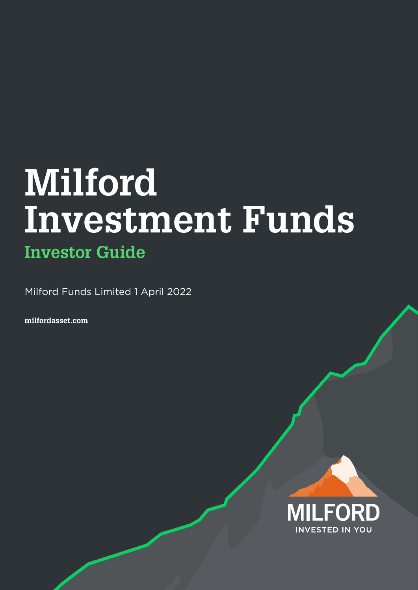# **Milford Investment Funds Investor Guide**

Milford Funds Limited 1 April 2022

milfordasset.com

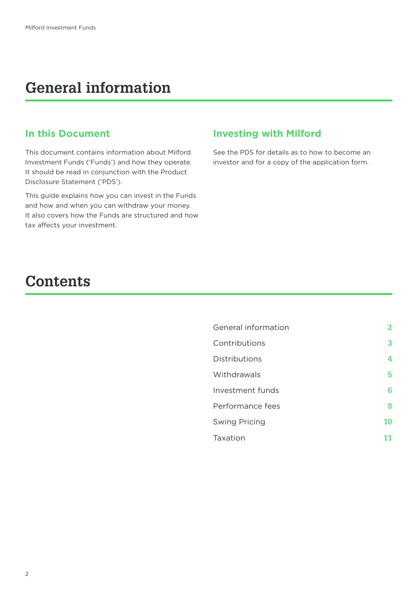# **General information**

### **In this Document**

This document contains information about Milford Investment Funds ('Funds') and how they operate. It should be read in conjunction with the Product Disclosure Statement ('PDS').

This guide explains how you can invest in the Funds and how and when you can withdraw your money. It also covers how the Funds are structured and how tax affects your investment.

### **Investing with Milford**

See the PDS for details as to how to become an investor and for a copy of the application form.

# **Contents**

| General information  | 2  |
|----------------------|----|
| Contributions        | 3  |
| Distributions        | 4  |
| Withdrawals          | 5  |
| Investment funds     | 6  |
| Performance fees     | 8  |
| <b>Swing Pricing</b> | 10 |
| Taxation             | 11 |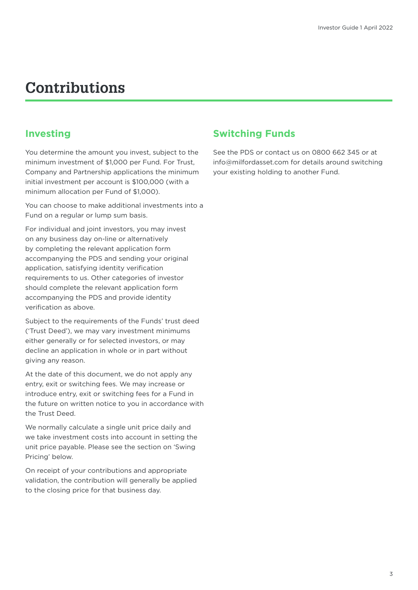# **Contributions**

# **Investing**

You determine the amount you invest, subject to the minimum investment of \$1,000 per Fund. For Trust, Company and Partnership applications the minimum initial investment per account is \$100,000 (with a minimum allocation per Fund of \$1,000).

You can choose to make additional investments into a Fund on a regular or lump sum basis.

For individual and joint investors, you may invest on any business day on-line or alternatively by completing the relevant application form accompanying the PDS and sending your original application, satisfying identity verification requirements to us. Other categories of investor should complete the relevant application form accompanying the PDS and provide identity verification as above.

Subject to the requirements of the Funds' trust deed ('Trust Deed'), we may vary investment minimums either generally or for selected investors, or may decline an application in whole or in part without giving any reason.

At the date of this document, we do not apply any entry, exit or switching fees. We may increase or introduce entry, exit or switching fees for a Fund in the future on written notice to you in accordance with the Trust Deed.

We normally calculate a single unit price daily and we take investment costs into account in setting the unit price payable. Please see the section on 'Swing Pricing' below.

On receipt of your contributions and appropriate validation, the contribution will generally be applied to the closing price for that business day.

# **Switching Funds**

See the PDS or contact us on 0800 662 345 or at info@milfordasset.com for details around switching your existing holding to another Fund.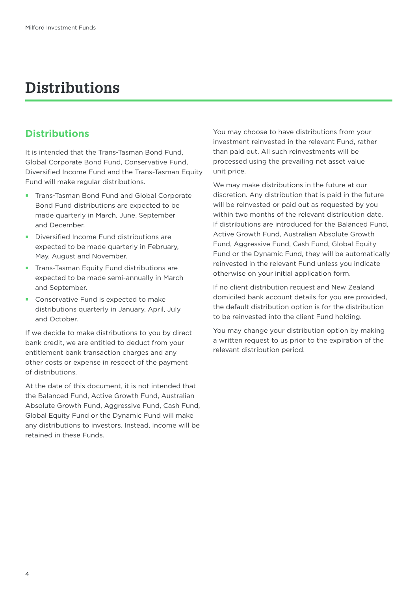# **Distributions**

# **Distributions**

It is intended that the Trans-Tasman Bond Fund, Global Corporate Bond Fund, Conservative Fund, Diversified Income Fund and the Trans-Tasman Equity Fund will make regular distributions.

- **Trans-Tasman Bond Fund and Global Corporate** Bond Fund distributions are expected to be made quarterly in March, June, September and December.
- Diversified Income Fund distributions are expected to be made quarterly in February, May, August and November.
- **•** Trans-Tasman Equity Fund distributions are expected to be made semi-annually in March and September.
- **Conservative Fund is expected to make** distributions quarterly in January, April, July and October.

If we decide to make distributions to you by direct bank credit, we are entitled to deduct from your entitlement bank transaction charges and any other costs or expense in respect of the payment of distributions.

At the date of this document, it is not intended that the Balanced Fund, Active Growth Fund, Australian Absolute Growth Fund, Aggressive Fund, Cash Fund, Global Equity Fund or the Dynamic Fund will make any distributions to investors. Instead, income will be retained in these Funds.

You may choose to have distributions from your investment reinvested in the relevant Fund, rather than paid out. All such reinvestments will be processed using the prevailing net asset value unit price.

We may make distributions in the future at our discretion. Any distribution that is paid in the future will be reinvested or paid out as requested by you within two months of the relevant distribution date. If distributions are introduced for the Balanced Fund, Active Growth Fund, Australian Absolute Growth Fund, Aggressive Fund, Cash Fund, Global Equity Fund or the Dynamic Fund, they will be automatically reinvested in the relevant Fund unless you indicate otherwise on your initial application form.

If no client distribution request and New Zealand domiciled bank account details for you are provided, the default distribution option is for the distribution to be reinvested into the client Fund holding.

You may change your distribution option by making a written request to us prior to the expiration of the relevant distribution period.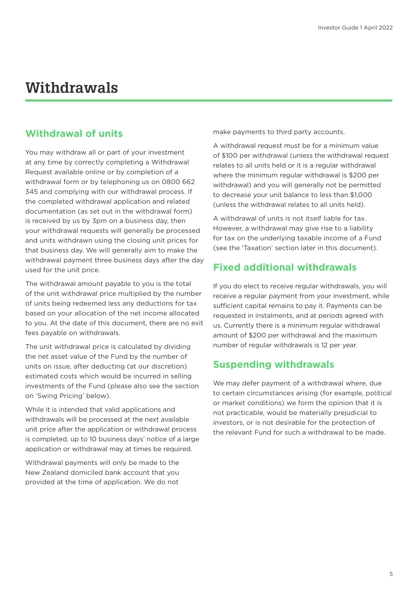# **Withdrawals**

# **Withdrawal of units**

You may withdraw all or part of your investment at any time by correctly completing a Withdrawal Request available online or by completion of a withdrawal form or by telephoning us on 0800 662 345 and complying with our withdrawal process. If the completed withdrawal application and related documentation (as set out in the withdrawal form) is received by us by 3pm on a business day, then your withdrawal requests will generally be processed and units withdrawn using the closing unit prices for that business day. We will generally aim to make the withdrawal payment three business days after the day used for the unit price.

The withdrawal amount payable to you is the total of the unit withdrawal price multiplied by the number of units being redeemed less any deductions for tax based on your allocation of the net income allocated to you. At the date of this document, there are no exit fees payable on withdrawals.

The unit withdrawal price is calculated by dividing the net asset value of the Fund by the number of units on issue, after deducting (at our discretion) estimated costs which would be incurred in selling investments of the Fund (please also see the section on 'Swing Pricing' below).

While it is intended that valid applications and withdrawals will be processed at the next available unit price after the application or withdrawal process is completed, up to 10 business days' notice of a large application or withdrawal may at times be required.

Withdrawal payments will only be made to the New Zealand domiciled bank account that you provided at the time of application. We do not

make payments to third party accounts.

A withdrawal request must be for a minimum value of \$100 per withdrawal (unless the withdrawal request relates to all units held or it is a regular withdrawal where the minimum regular withdrawal is \$200 per withdrawal) and you will generally not be permitted to decrease your unit balance to less than \$1,000 (unless the withdrawal relates to all units held).

A withdrawal of units is not itself liable for tax. However, a withdrawal may give rise to a liability for tax on the underlying taxable income of a Fund (see the 'Taxation' section later in this document).

# **Fixed additional withdrawals**

If you do elect to receive regular withdrawals, you will receive a regular payment from your investment, while sufficient capital remains to pay it. Payments can be requested in instalments, and at periods agreed with us. Currently there is a minimum regular withdrawal amount of \$200 per withdrawal and the maximum number of regular withdrawals is 12 per year.

# **Suspending withdrawals**

We may defer payment of a withdrawal where, due to certain circumstances arising (for example, political or market conditions) we form the opinion that it is not practicable, would be materially prejudicial to investors, or is not desirable for the protection of the relevant Fund for such a withdrawal to be made.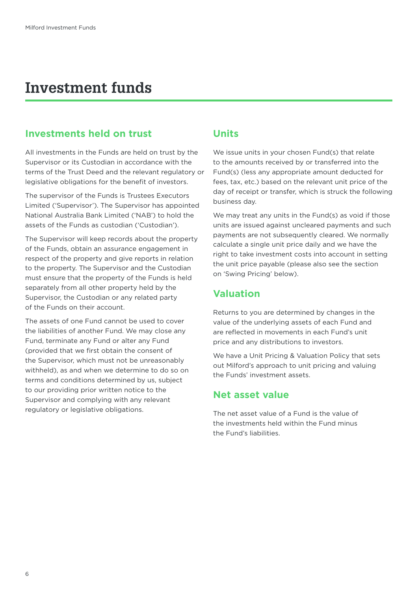# **Investment funds**

### **Investments held on trust**

All investments in the Funds are held on trust by the Supervisor or its Custodian in accordance with the terms of the Trust Deed and the relevant regulatory or legislative obligations for the benefit of investors.

The supervisor of the Funds is Trustees Executors Limited ('Supervisor'). The Supervisor has appointed National Australia Bank Limited ('NAB') to hold the assets of the Funds as custodian ('Custodian').

The Supervisor will keep records about the property of the Funds, obtain an assurance engagement in respect of the property and give reports in relation to the property. The Supervisor and the Custodian must ensure that the property of the Funds is held separately from all other property held by the Supervisor, the Custodian or any related party of the Funds on their account.

The assets of one Fund cannot be used to cover the liabilities of another Fund. We may close any Fund, terminate any Fund or alter any Fund (provided that we first obtain the consent of the Supervisor, which must not be unreasonably withheld), as and when we determine to do so on terms and conditions determined by us, subject to our providing prior written notice to the Supervisor and complying with any relevant regulatory or legislative obligations.

### **Units**

We issue units in your chosen Fund(s) that relate to the amounts received by or transferred into the Fund(s) (less any appropriate amount deducted for fees, tax, etc.) based on the relevant unit price of the day of receipt or transfer, which is struck the following business day.

We may treat any units in the Fund(s) as void if those units are issued against uncleared payments and such payments are not subsequently cleared. We normally calculate a single unit price daily and we have the right to take investment costs into account in setting the unit price payable (please also see the section on 'Swing Pricing' below).

# **Valuation**

Returns to you are determined by changes in the value of the underlying assets of each Fund and are reflected in movements in each Fund's unit price and any distributions to investors.

We have a Unit Pricing & Valuation Policy that sets out Milford's approach to unit pricing and valuing the Funds' investment assets.

### **Net asset value**

The net asset value of a Fund is the value of the investments held within the Fund minus the Fund's liabilities.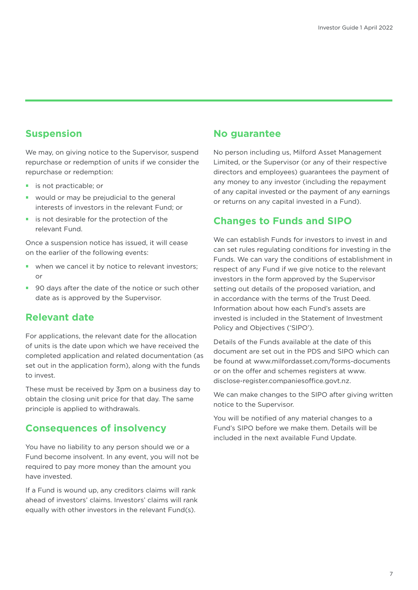# **Suspension**

We may, on giving notice to the Supervisor, suspend repurchase or redemption of units if we consider the repurchase or redemption:

- **•** is not practicable; or
- would or may be prejudicial to the general interests of investors in the relevant Fund; or
- **•** is not desirable for the protection of the relevant Fund.

Once a suspension notice has issued, it will cease on the earlier of the following events:

- when we cancel it by notice to relevant investors: or
- **90 days after the date of the notice or such other** date as is approved by the Supervisor.

### **Relevant date**

For applications, the relevant date for the allocation of units is the date upon which we have received the completed application and related documentation (as set out in the application form), along with the funds to invest.

These must be received by 3pm on a business day to obtain the closing unit price for that day. The same principle is applied to withdrawals.

### **Consequences of insolvency**

You have no liability to any person should we or a Fund become insolvent. In any event, you will not be required to pay more money than the amount you have invested.

If a Fund is wound up, any creditors claims will rank ahead of investors' claims. Investors' claims will rank equally with other investors in the relevant Fund(s).

### **No guarantee**

No person including us, Milford Asset Management Limited, or the Supervisor (or any of their respective directors and employees) guarantees the payment of any money to any investor (including the repayment of any capital invested or the payment of any earnings or returns on any capital invested in a Fund).

### **Changes to Funds and SIPO**

We can establish Funds for investors to invest in and can set rules regulating conditions for investing in the Funds. We can vary the conditions of establishment in respect of any Fund if we give notice to the relevant investors in the form approved by the Supervisor setting out details of the proposed variation, and in accordance with the terms of the Trust Deed. Information about how each Fund's assets are invested is included in the Statement of Investment Policy and Objectives ('SIPO').

Details of the Funds available at the date of this document are set out in the PDS and SIPO which can be found at www.milfordasset.com/forms-documents or on the offer and schemes registers at www. disclose-register.companiesoffice.govt.nz.

We can make changes to the SIPO after giving written notice to the Supervisor.

You will be notified of any material changes to a Fund's SIPO before we make them. Details will be included in the next available Fund Update.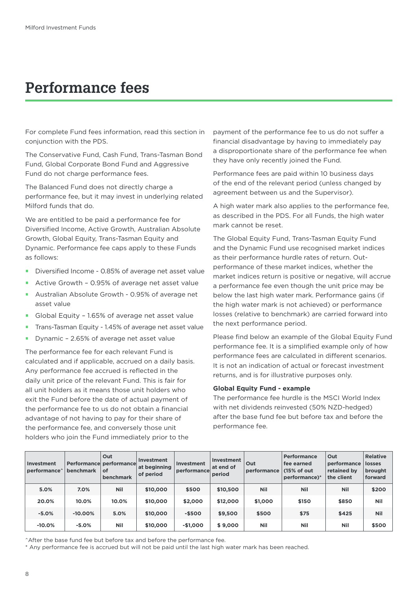# **Performance fees**

For complete Fund fees information, read this section in conjunction with the PDS.

The Conservative Fund, Cash Fund, Trans-Tasman Bond Fund, Global Corporate Bond Fund and Aggressive Fund do not charge performance fees.

The Balanced Fund does not directly charge a performance fee, but it may invest in underlying related Milford funds that do.

We are entitled to be paid a performance fee for Diversified Income, Active Growth, Australian Absolute Growth, Global Equity, Trans-Tasman Equity and Dynamic. Performance fee caps apply to these Funds as follows:

- Diversified Income 0.85% of average net asset value
- Active Growth 0.95% of average net asset value
- Australian Absolute Growth 0.95% of average net asset value
- Global Equity 1.65% of average net asset value
- Trans-Tasman Equity 1.45% of average net asset value
- Dynamic 2.65% of average net asset value

The performance fee for each relevant Fund is calculated and if applicable, accrued on a daily basis. Any performance fee accrued is reflected in the daily unit price of the relevant Fund. This is fair for all unit holders as it means those unit holders who exit the Fund before the date of actual payment of the performance fee to us do not obtain a financial advantage of not having to pay for their share of the performance fee, and conversely those unit holders who join the Fund immediately prior to the

payment of the performance fee to us do not suffer a financial disadvantage by having to immediately pay a disproportionate share of the performance fee when they have only recently joined the Fund.

Performance fees are paid within 10 business days of the end of the relevant period (unless changed by agreement between us and the Supervisor).

A high water mark also applies to the performance fee, as described in the PDS. For all Funds, the high water mark cannot be reset.

The Global Equity Fund, Trans-Tasman Equity Fund and the Dynamic Fund use recognised market indices as their performance hurdle rates of return. Outperformance of these market indices, whether the market indices return is positive or negative, will accrue a performance fee even though the unit price may be below the last high water mark. Performance gains (if the high water mark is not achieved) or performance losses (relative to benchmark) are carried forward into the next performance period.

Please find below an example of the Global Equity Fund performance fee. It is a simplified example only of how performance fees are calculated in different scenarios. It is not an indication of actual or forecast investment returns, and is for illustrative purposes only.

#### **Global Equity Fund - example**

The performance fee hurdle is the MSCI World Index with net dividends reinvested (50% NZD-hedged) after the base fund fee but before tax and before the performance fee.

| <b>Investment</b><br>performance <sup>^</sup> | <b>benchmark</b> | Out<br>Performance performance<br><b>of</b><br>benchmark | Investment<br>at beginning<br>of period | Investment<br>performance | Investment<br>at end of<br>period | Out<br>performance | <b>Performance</b><br>fee earned<br>(15% of out)<br>performance)* | Out<br>performance<br>retained by<br>the client | <b>Relative</b><br><b>losses</b><br>brought<br>forward |
|-----------------------------------------------|------------------|----------------------------------------------------------|-----------------------------------------|---------------------------|-----------------------------------|--------------------|-------------------------------------------------------------------|-------------------------------------------------|--------------------------------------------------------|
| 5.0%                                          | 7.0%             | <b>Nil</b>                                               | \$10,000                                | \$500                     | \$10,500                          | <b>Nil</b>         | <b>Nil</b>                                                        | <b>Nil</b>                                      | \$200                                                  |
| 20.0%                                         | 10.0%            | 10.0%                                                    | \$10,000                                | \$2,000                   | \$12,000                          | \$1,000            | \$150                                                             | \$850                                           | <b>Nil</b>                                             |
| $-5.0%$                                       | $-10.00%$        | 5.0%                                                     | \$10,000                                | $-$500$                   | \$9,500                           | \$500              | \$75                                                              | \$425                                           | <b>Nil</b>                                             |
| $-10.0%$                                      | $-5.0%$          | <b>Nil</b>                                               | \$10,000                                | $-$1,000$                 | \$9,000                           | Nil                | Nil                                                               | Nil                                             | \$500                                                  |

^After the base fund fee but before tax and before the performance fee.

\* Any performance fee is accrued but will not be paid until the last high water mark has been reached.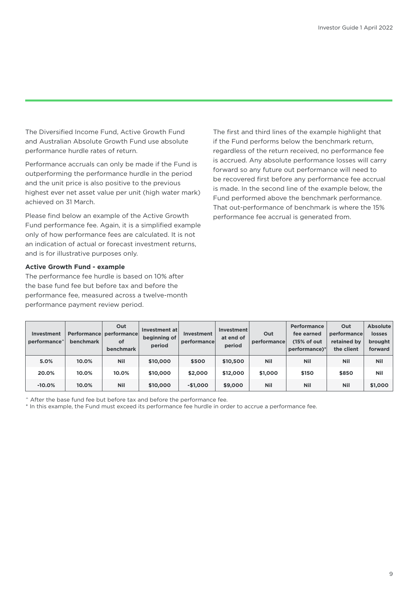The Diversified Income Fund, Active Growth Fund and Australian Absolute Growth Fund use absolute performance hurdle rates of return.

Performance accruals can only be made if the Fund is outperforming the performance hurdle in the period and the unit price is also positive to the previous highest ever net asset value per unit (high water mark) achieved on 31 March.

Please find below an example of the Active Growth Fund performance fee. Again, it is a simplified example only of how performance fees are calculated. It is not an indication of actual or forecast investment returns, and is for illustrative purposes only.

#### **Active Growth Fund - example**

The performance fee hurdle is based on 10% after the base fund fee but before tax and before the performance fee, measured across a twelve-month performance payment review period.

The first and third lines of the example highlight that if the Fund performs below the benchmark return, regardless of the return received, no performance fee is accrued. Any absolute performance losses will carry forward so any future out performance will need to be recovered first before any performance fee accrual is made. In the second line of the example below, the Fund performed above the benchmark performance. That out-performance of benchmark is where the 15% performance fee accrual is generated from.

| <b>Investment</b><br>performance <sup>^</sup> | <b>benchmark</b> | Out<br>Performance performance<br>of<br><b>benchmark</b> | Investment at<br>beginning of<br>period | Investment<br>performance | Investment<br>at end of<br>period | Out<br>performance | <b>Performance</b><br>fee earned<br>(15% of out)<br>performance)* | Out<br>performance<br>retained by<br>the client | Absolute<br><b>losses</b><br>brought<br>forward |
|-----------------------------------------------|------------------|----------------------------------------------------------|-----------------------------------------|---------------------------|-----------------------------------|--------------------|-------------------------------------------------------------------|-------------------------------------------------|-------------------------------------------------|
| 5.0%                                          | 10.0%            | <b>Nil</b>                                               | \$10,000                                | \$500                     | \$10,500                          | <b>Nil</b>         | <b>Nil</b>                                                        | <b>Nil</b>                                      | <b>Nil</b>                                      |
| 20.0%                                         | 10.0%            | 10.0%                                                    | \$10,000                                | \$2,000                   | \$12,000                          | \$1,000            | \$150                                                             | \$850                                           | <b>Nil</b>                                      |
| $-10.0%$                                      | 10.0%            | <b>Nil</b>                                               | \$10,000                                | $-$1,000$                 | \$9,000                           | <b>Nil</b>         | <b>Nil</b>                                                        | <b>Nil</b>                                      | \$1,000                                         |

^ After the base fund fee but before tax and before the performance fee.

\* In this example, the Fund must exceed its performance fee hurdle in order to accrue a performance fee.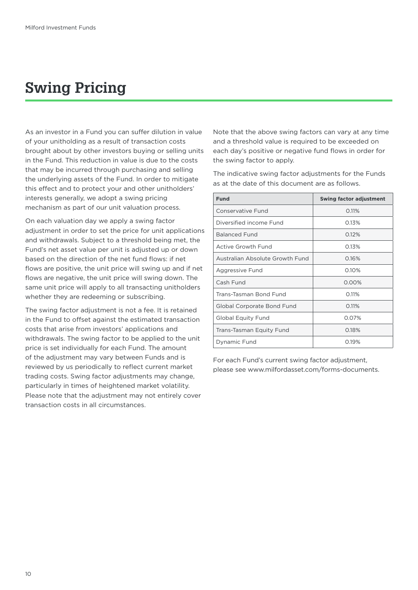# **Swing Pricing**

As an investor in a Fund you can suffer dilution in value of your unitholding as a result of transaction costs brought about by other investors buying or selling units in the Fund. This reduction in value is due to the costs that may be incurred through purchasing and selling the underlying assets of the Fund. In order to mitigate this effect and to protect your and other unitholders' interests generally, we adopt a swing pricing mechanism as part of our unit valuation process.

On each valuation day we apply a swing factor adjustment in order to set the price for unit applications and withdrawals. Subject to a threshold being met, the Fund's net asset value per unit is adjusted up or down based on the direction of the net fund flows: if net flows are positive, the unit price will swing up and if net flows are negative, the unit price will swing down. The same unit price will apply to all transacting unitholders whether they are redeeming or subscribing.

The swing factor adjustment is not a fee. It is retained in the Fund to offset against the estimated transaction costs that arise from investors' applications and withdrawals. The swing factor to be applied to the unit price is set individually for each Fund. The amount of the adjustment may vary between Funds and is reviewed by us periodically to reflect current market trading costs. Swing factor adjustments may change, particularly in times of heightened market volatility. Please note that the adjustment may not entirely cover transaction costs in all circumstances.

Note that the above swing factors can vary at any time and a threshold value is required to be exceeded on each day's positive or negative fund flows in order for the swing factor to apply.

The indicative swing factor adjustments for the Funds as at the date of this document are as follows.

| <b>Fund</b>                     | <b>Swing factor adjustment</b> |
|---------------------------------|--------------------------------|
| Conservative Fund               | 0.11%                          |
| Diversified income Fund         | 0.13%                          |
| <b>Balanced Fund</b>            | 0.12%                          |
| Active Growth Fund              | 0.13%                          |
| Australian Absolute Growth Fund | 0.16%                          |
| Aggressive Fund                 | 0.10%                          |
| Cash Fund                       | 0.00%                          |
| Trans-Tasman Bond Fund          | 0.11%                          |
| Global Corporate Bond Fund      | 0.11%                          |
| Global Equity Fund              | 0.07%                          |
| Trans-Tasman Equity Fund        | 0.18%                          |
| Dynamic Fund                    | O.19%                          |

For each Fund's current swing factor adjustment, please see www.milfordasset.com/forms-documents.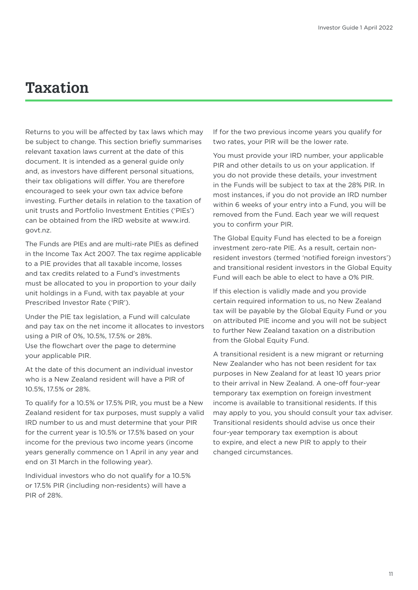# **Taxation**

Returns to you will be affected by tax laws which may be subject to change. This section briefly summarises relevant taxation laws current at the date of this document. It is intended as a general guide only and, as investors have different personal situations, their tax obligations will differ. You are therefore encouraged to seek your own tax advice before investing. Further details in relation to the taxation of unit trusts and Portfolio Investment Entities ('PIEs') can be obtained from the IRD website at www.ird. govt.nz.

The Funds are PIEs and are multi-rate PIEs as defined in the Income Tax Act 2007. The tax regime applicable to a PIE provides that all taxable income, losses and tax credits related to a Fund's investments must be allocated to you in proportion to your daily unit holdings in a Fund, with tax payable at your Prescribed Investor Rate ('PIR').

Under the PIE tax legislation, a Fund will calculate and pay tax on the net income it allocates to investors using a PIR of 0%, 10.5%, 17.5% or 28%. Use the flowchart over the page to determine your applicable PIR.

At the date of this document an individual investor who is a New Zealand resident will have a PIR of 10.5%, 17.5% or 28%.

To qualify for a 10.5% or 17.5% PIR, you must be a New Zealand resident for tax purposes, must supply a valid IRD number to us and must determine that your PIR for the current year is 10.5% or 17.5% based on your income for the previous two income years (income years generally commence on 1 April in any year and end on 31 March in the following year).

Individual investors who do not qualify for a 10.5% or 17.5% PIR (including non-residents) will have a PIR of 28%.

If for the two previous income years you qualify for two rates, your PIR will be the lower rate.

You must provide your IRD number, your applicable PIR and other details to us on your application. If you do not provide these details, your investment in the Funds will be subject to tax at the 28% PIR. In most instances, if you do not provide an IRD number within 6 weeks of your entry into a Fund, you will be removed from the Fund. Each year we will request you to confirm your PIR.

The Global Equity Fund has elected to be a foreign investment zero-rate PIE. As a result, certain nonresident investors (termed 'notified foreign investors') and transitional resident investors in the Global Equity Fund will each be able to elect to have a 0% PIR.

If this election is validly made and you provide certain required information to us, no New Zealand tax will be payable by the Global Equity Fund or you on attributed PIE income and you will not be subject to further New Zealand taxation on a distribution from the Global Equity Fund.

A transitional resident is a new migrant or returning New Zealander who has not been resident for tax purposes in New Zealand for at least 10 years prior to their arrival in New Zealand. A one-off four-year temporary tax exemption on foreign investment income is available to transitional residents. If this may apply to you, you should consult your tax adviser. Transitional residents should advise us once their four-year temporary tax exemption is about to expire, and elect a new PIR to apply to their changed circumstances.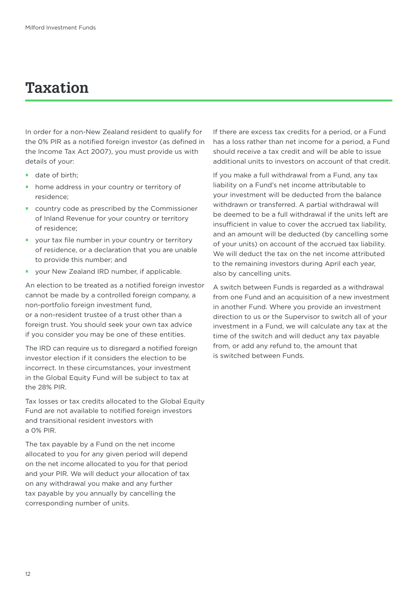# **Taxation**

In order for a non-New Zealand resident to qualify for the 0% PIR as a notified foreign investor (as defined in the Income Tax Act 2007), you must provide us with details of your:

- date of birth:
- **•** home address in your country or territory of residence;
- **country code as prescribed by the Commissioner** of Inland Revenue for your country or territory of residence;
- your tax file number in your country or territory of residence, or a declaration that you are unable to provide this number; and
- **your New Zealand IRD number, if applicable.**

An election to be treated as a notified foreign investor cannot be made by a controlled foreign company, a non-portfolio foreign investment fund, or a non-resident trustee of a trust other than a foreign trust. You should seek your own tax advice if you consider you may be one of these entities.

The IRD can require us to disregard a notified foreign investor election if it considers the election to be incorrect. In these circumstances, your investment in the Global Equity Fund will be subject to tax at the 28% PIR.

Tax losses or tax credits allocated to the Global Equity Fund are not available to notified foreign investors and transitional resident investors with a 0% PIR.

The tax payable by a Fund on the net income allocated to you for any given period will depend on the net income allocated to you for that period and your PIR. We will deduct your allocation of tax on any withdrawal you make and any further tax payable by you annually by cancelling the corresponding number of units.

If there are excess tax credits for a period, or a Fund has a loss rather than net income for a period, a Fund should receive a tax credit and will be able to issue additional units to investors on account of that credit.

If you make a full withdrawal from a Fund, any tax liability on a Fund's net income attributable to your investment will be deducted from the balance withdrawn or transferred. A partial withdrawal will be deemed to be a full withdrawal if the units left are insufficient in value to cover the accrued tax liability, and an amount will be deducted (by cancelling some of your units) on account of the accrued tax liability. We will deduct the tax on the net income attributed to the remaining investors during April each year, also by cancelling units.

A switch between Funds is regarded as a withdrawal from one Fund and an acquisition of a new investment in another Fund. Where you provide an investment direction to us or the Supervisor to switch all of your investment in a Fund, we will calculate any tax at the time of the switch and will deduct any tax payable from, or add any refund to, the amount that is switched between Funds.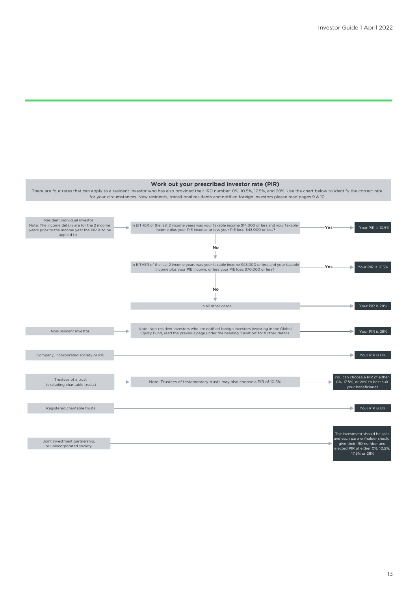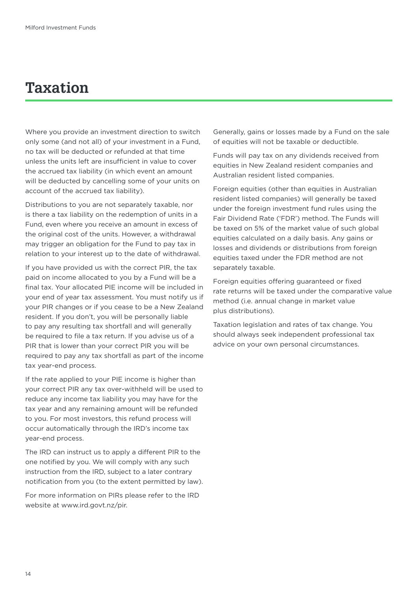# **Taxation**

Where you provide an investment direction to switch only some (and not all) of your investment in a Fund, no tax will be deducted or refunded at that time unless the units left are insufficient in value to cover the accrued tax liability (in which event an amount will be deducted by cancelling some of your units on account of the accrued tax liability).

Distributions to you are not separately taxable, nor is there a tax liability on the redemption of units in a Fund, even where you receive an amount in excess of the original cost of the units. However, a withdrawal may trigger an obligation for the Fund to pay tax in relation to your interest up to the date of withdrawal.

If you have provided us with the correct PIR, the tax paid on income allocated to you by a Fund will be a final tax. Your allocated PIE income will be included in your end of year tax assessment. You must notify us if your PIR changes or if you cease to be a New Zealand resident. If you don't, you will be personally liable to pay any resulting tax shortfall and will generally be required to file a tax return. If you advise us of a PIR that is lower than your correct PIR you will be required to pay any tax shortfall as part of the income tax year-end process.

If the rate applied to your PIE income is higher than your correct PIR any tax over-withheld will be used to reduce any income tax liability you may have for the tax year and any remaining amount will be refunded to you. For most investors, this refund process will occur automatically through the IRD's income tax year-end process.

The IRD can instruct us to apply a different PIR to the one notified by you. We will comply with any such instruction from the IRD, subject to a later contrary notification from you (to the extent permitted by law).

For more information on PIRs please refer to the IRD website at www.ird.govt.nz/pir.

Generally, gains or losses made by a Fund on the sale of equities will not be taxable or deductible.

Funds will pay tax on any dividends received from equities in New Zealand resident companies and Australian resident listed companies.

Foreign equities (other than equities in Australian resident listed companies) will generally be taxed under the foreign investment fund rules using the Fair Dividend Rate ('FDR') method. The Funds will be taxed on 5% of the market value of such global equities calculated on a daily basis. Any gains or losses and dividends or distributions from foreign equities taxed under the FDR method are not separately taxable.

Foreign equities offering quaranteed or fixed rate returns will be taxed under the comparative value method (i.e. annual change in market value plus distributions).

Taxation legislation and rates of tax change. You should always seek independent professional tax advice on your own personal circumstances.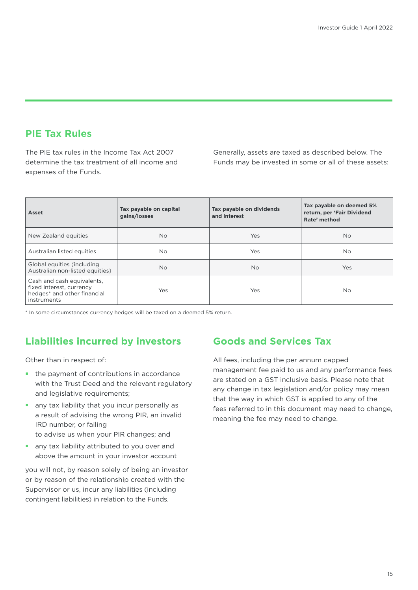# **PIE Tax Rules**

The PIE tax rules in the Income Tax Act 2007 determine the tax treatment of all income and expenses of the Funds.

Generally, assets are taxed as described below. The Funds may be invested in some or all of these assets:

| Asset                                                                                                | Tax payable on capital<br>gains/losses | Tax payable on dividends<br>and interest | Tax payable on deemed 5%<br>return, per 'Fair Dividend<br>Rate' method |
|------------------------------------------------------------------------------------------------------|----------------------------------------|------------------------------------------|------------------------------------------------------------------------|
| New Zealand equities                                                                                 | <b>No</b>                              | Yes                                      | No.                                                                    |
| Australian listed equities                                                                           | <b>No</b>                              | <b>Yes</b>                               | No.                                                                    |
| Global equities (including<br>Australian non-listed equities)                                        | <b>No</b>                              | <b>No</b>                                | Yes                                                                    |
| Cash and cash equivalents,<br>fixed interest, currency<br>hedges* and other financial<br>instruments | Yes                                    | Yes                                      | No.                                                                    |

\* In some circumstances currency hedges will be taxed on a deemed 5% return.

# **Liabilities incurred by investors**

Other than in respect of:

- the payment of contributions in accordance with the Trust Deed and the relevant regulatory and legislative requirements;
- **•** any tax liability that you incur personally as a result of advising the wrong PIR, an invalid IRD number, or failing to advise us when your PIR changes; and
- **•** any tax liability attributed to you over and above the amount in your investor account

you will not, by reason solely of being an investor or by reason of the relationship created with the Supervisor or us, incur any liabilities (including contingent liabilities) in relation to the Funds.

# **Goods and Services Tax**

All fees, including the per annum capped management fee paid to us and any performance fees are stated on a GST inclusive basis. Please note that any change in tax legislation and/or policy may mean that the way in which GST is applied to any of the fees referred to in this document may need to change, meaning the fee may need to change.